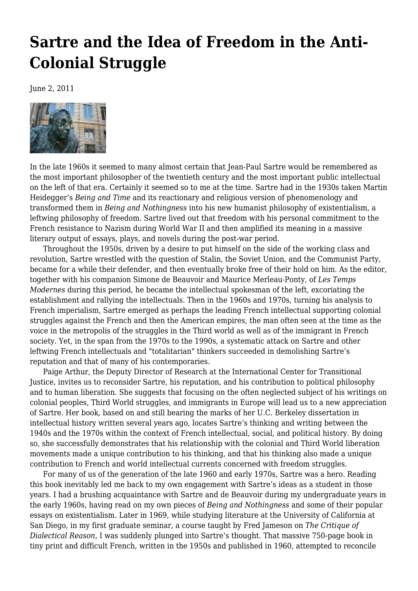## **[Sartre and the Idea of Freedom in the Anti-](https://newpol.org/review/sartre-and-idea-freedom-anti-colonial-struggle/)[Colonial Struggle](https://newpol.org/review/sartre-and-idea-freedom-anti-colonial-struggle/)**

June 2, 2011



In the late 1960s it seemed to many almost certain that Jean-Paul Sartre would be remembered as the most important philosopher of the twentieth century and the most important public intellectual on the left of that era. Certainly it seemed so to me at the time. Sartre had in the 1930s taken Martin Heidegger's *Being and Time* and its reactionary and religious version of phenomenology and transformed them in *Being and Nothingness* into his new humanist philosophy of existentialism, a leftwing philosophy of freedom. Sartre lived out that freedom with his personal commitment to the French resistance to Nazism during World War II and then amplified its meaning in a massive literary output of essays, plays, and novels during the post-war period.

 Throughout the 1950s, driven by a desire to put himself on the side of the working class and revolution, Sartre wrestled with the question of Stalin, the Soviet Union, and the Communist Party, became for a while their defender, and then eventually broke free of their hold on him. As the editor, together with his companion Simone de Beauvoir and Maurice Merleau-Ponty, of *Les Temps Modernes* during this period, he became the intellectual spokesman of the left, excoriating the establishment and rallying the intellectuals. Then in the 1960s and 1970s, turning his analysis to French imperialism, Sartre emerged as perhaps the leading French intellectual supporting colonial struggles against the French and then the American empires, the man often seen at the time as the voice in the metropolis of the struggles in the Third world as well as of the immigrant in French society. Yet, in the span from the 1970s to the 1990s, a systematic attack on Sartre and other leftwing French intellectuals and "totalitarian" thinkers succeeded in demolishing Sartre's reputation and that of many of his contemporaries.

 Paige Arthur, the Deputy Director of Research at the International Center for Transitional Justice, invites us to reconsider Sartre, his reputation, and his contribution to political philosophy and to human liberation. She suggests that focusing on the often neglected subject of his writings on colonial peoples, Third World struggles, and immigrants in Europe will lead us to a new appreciation of Sartre. Her book, based on and still bearing the marks of her U.C. Berkeley dissertation in intellectual history written several years ago, locates Sartre's thinking and writing between the 1940s and the 1970s within the context of French intellectual, social, and political history. By doing so, she successfully demonstrates that his relationship with the colonial and Third World liberation movements made a unique contribution to his thinking, and that his thinking also made a unique contribution to French and world intellectual currents concerned with freedom struggles.

 For many of us of the generation of the late 1960 and early 1970s, Sartre was a hero. Reading this book inevitably led me back to my own engagement with Sartre's ideas as a student in those years. I had a brushing acquaintance with Sartre and de Beauvoir during my undergraduate years in the early 1960s, having read on my own pieces of *Being and Nothingness* and some of their popular essays on existentialism. Later in 1969, while studying literature at the University of California at San Diego, in my first graduate seminar, a course taught by Fred Jameson on *The Critique of Dialectical Reason*, I was suddenly plunged into Sartre's thought. That massive 750-page book in tiny print and difficult French, written in the 1950s and published in 1960, attempted to reconcile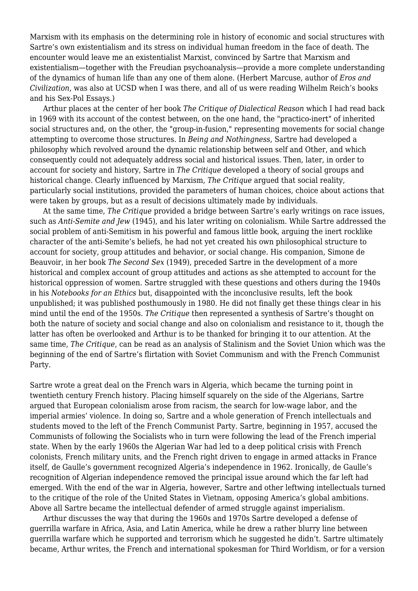Marxism with its emphasis on the determining role in history of economic and social structures with Sartre's own existentialism and its stress on individual human freedom in the face of death. The encounter would leave me an existentialist Marxist, convinced by Sartre that Marxism and existentialism—together with the Freudian psychoanalysis—provide a more complete understanding of the dynamics of human life than any one of them alone. (Herbert Marcuse, author of *Eros and Civilization*, was also at UCSD when I was there, and all of us were reading Wilhelm Reich's books and his Sex-Pol Essays.)

 Arthur places at the center of her book *The Critique of Dialectical Reason* which I had read back in 1969 with its account of the contest between, on the one hand, the "practico-inert" of inherited social structures and, on the other, the "group-in-fusion," representing movements for social change attempting to overcome those structures. In *Being and Nothingness*, Sartre had developed a philosophy which revolved around the dynamic relationship between self and Other, and which consequently could not adequately address social and historical issues. Then, later, in order to account for society and history, Sartre in *The Critique* developed a theory of social groups and historical change. Clearly influenced by Marxism, *The Critique* argued that social reality, particularly social institutions, provided the parameters of human choices, choice about actions that were taken by groups, but as a result of decisions ultimately made by individuals.

 At the same time, *The Critique* provided a bridge between Sartre's early writings on race issues, such as *Anti-Semite and Jew* (1945), and his later writing on colonialism. While Sartre addressed the social problem of anti-Semitism in his powerful and famous little book, arguing the inert rocklike character of the anti-Semite's beliefs, he had not yet created his own philosophical structure to account for society, group attitudes and behavior, or social change. His companion, Simone de Beauvoir, in her book *The Second Sex* (1949), preceded Sartre in the development of a more historical and complex account of group attitudes and actions as she attempted to account for the historical oppression of women. Sartre struggled with these questions and others during the 1940s in his *Notebooks for an Ethics* but, disappointed with the inconclusive results, left the book unpublished; it was published posthumously in 1980. He did not finally get these things clear in his mind until the end of the 1950s. *The Critique* then represented a synthesis of Sartre's thought on both the nature of society and social change and also on colonialism and resistance to it, though the latter has often be overlooked and Arthur is to be thanked for bringing it to our attention. At the same time, *The Critique*, can be read as an analysis of Stalinism and the Soviet Union which was the beginning of the end of Sartre's flirtation with Soviet Communism and with the French Communist Party.

Sartre wrote a great deal on the French wars in Algeria, which became the turning point in twentieth century French history. Placing himself squarely on the side of the Algerians, Sartre argued that European colonialism arose from racism, the search for low-wage labor, and the imperial armies' violence. In doing so, Sartre and a whole generation of French intellectuals and students moved to the left of the French Communist Party. Sartre, beginning in 1957, accused the Communists of following the Socialists who in turn were following the lead of the French imperial state. When by the early 1960s the Algerian War had led to a deep political crisis with French colonists, French military units, and the French right driven to engage in armed attacks in France itself, de Gaulle's government recognized Algeria's independence in 1962. Ironically, de Gaulle's recognition of Algerian independence removed the principal issue around which the far left had emerged. With the end of the war in Algeria, however, Sartre and other leftwing intellectuals turned to the critique of the role of the United States in Vietnam, opposing America's global ambitions. Above all Sartre became the intellectual defender of armed struggle against imperialism.

 Arthur discusses the way that during the 1960s and 1970s Sartre developed a defense of guerrilla warfare in Africa, Asia, and Latin America, while he drew a rather blurry line between guerrilla warfare which he supported and terrorism which he suggested he didn't. Sartre ultimately became, Arthur writes, the French and international spokesman for Third Worldism, or for a version